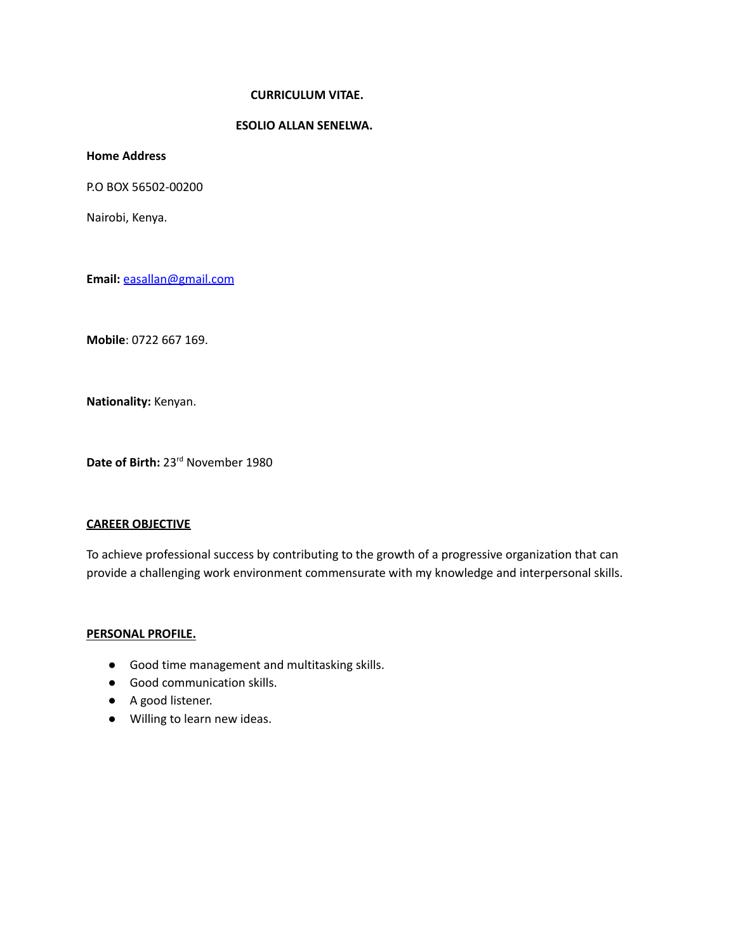## **CURRICULUM VITAE.**

# **ESOLIO ALLAN SENELWA.**

**Home Address**

P.O BOX 56502-00200

Nairobi, Kenya.

**Email:** [easallan@gmail.com](mailto:easallan@gmail.com)

**Mobile**: 0722 667 169.

**Nationality:** Kenyan.

**Date of Birth:** 23 rd November 1980

### **CAREER OBJECTIVE**

To achieve professional success by contributing to the growth of a progressive organization that can provide a challenging work environment commensurate with my knowledge and interpersonal skills.

### **PERSONAL PROFILE.**

- Good time management and multitasking skills.
- Good communication skills.
- A good listener.
- Willing to learn new ideas.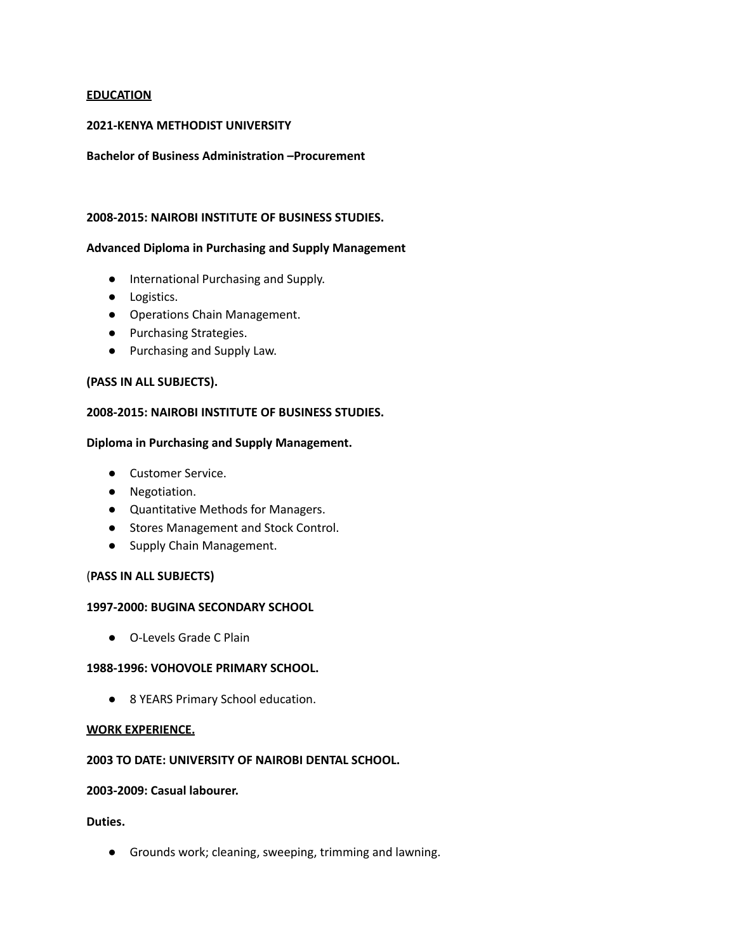## **EDUCATION**

## **2021-KENYA METHODIST UNIVERSITY**

#### **Bachelor of Business Administration –Procurement**

### **2008-2015: NAIROBI INSTITUTE OF BUSINESS STUDIES.**

#### **Advanced Diploma in Purchasing and Supply Management**

- **●** International Purchasing and Supply.
- **●** Logistics.
- **●** Operations Chain Management.
- **●** Purchasing Strategies.
- **●** Purchasing and Supply Law.

### **(PASS IN ALL SUBJECTS).**

### **2008-2015: NAIROBI INSTITUTE OF BUSINESS STUDIES.**

#### **Diploma in Purchasing and Supply Management.**

- Customer Service.
- Negotiation.
- Quantitative Methods for Managers.
- Stores Management and Stock Control.
- Supply Chain Management.

### (**PASS IN ALL SUBJECTS)**

### **1997-2000: BUGINA SECONDARY SCHOOL**

**●** O-Levels Grade C Plain

# **1988-1996: VOHOVOLE PRIMARY SCHOOL.**

**●** 8 YEARS Primary School education.

#### **WORK EXPERIENCE.**

# **2003 TO DATE: UNIVERSITY OF NAIROBI DENTAL SCHOOL.**

#### **2003-2009: Casual labourer.**

## **Duties.**

**●** Grounds work; cleaning, sweeping, trimming and lawning.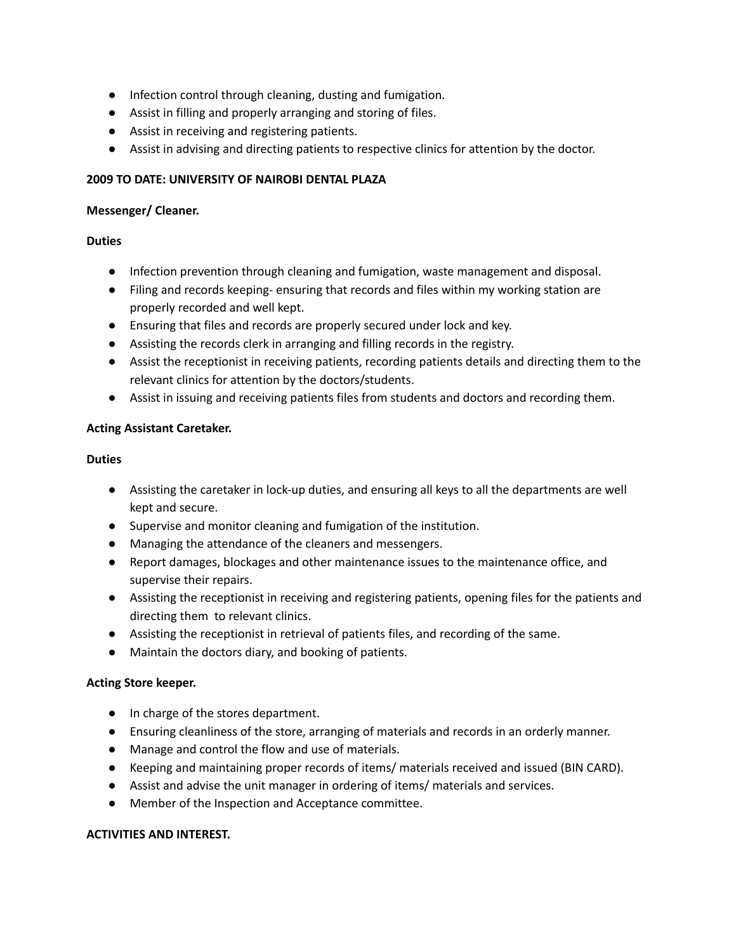- **●** Infection control through cleaning, dusting and fumigation.
- **●** Assist in filling and properly arranging and storing of files.
- **●** Assist in receiving and registering patients.
- **●** Assist in advising and directing patients to respective clinics for attention by the doctor.

# **2009 TO DATE: UNIVERSITY OF NAIROBI DENTAL PLAZA**

## **Messenger/ Cleaner.**

# **Duties**

- Infection prevention through cleaning and fumigation, waste management and disposal.
- Filing and records keeping- ensuring that records and files within my working station are properly recorded and well kept.
- Ensuring that files and records are properly secured under lock and key.
- Assisting the records clerk in arranging and filling records in the registry.
- Assist the receptionist in receiving patients, recording patients details and directing them to the relevant clinics for attention by the doctors/students.
- Assist in issuing and receiving patients files from students and doctors and recording them.

## **Acting Assistant Caretaker.**

## **Duties**

- **●** Assisting the caretaker in lock-up duties, and ensuring all keys to all the departments are well kept and secure.
- **●** Supervise and monitor cleaning and fumigation of the institution.
- **●** Managing the attendance of the cleaners and messengers.
- **●** Report damages, blockages and other maintenance issues to the maintenance office, and supervise their repairs.
- **●** Assisting the receptionist in receiving and registering patients, opening files for the patients and directing them to relevant clinics.
- **●** Assisting the receptionist in retrieval of patients files, and recording of the same.
- **●** Maintain the doctors diary, and booking of patients.

# **Acting Store keeper.**

- **●** In charge of the stores department.
- **●** Ensuring cleanliness of the store, arranging of materials and records in an orderly manner.
- **●** Manage and control the flow and use of materials.
- **●** Keeping and maintaining proper records of items/ materials received and issued (BIN CARD).
- **●** Assist and advise the unit manager in ordering of items/ materials and services.
- **●** Member of the Inspection and Acceptance committee.

### **ACTIVITIES AND INTEREST.**